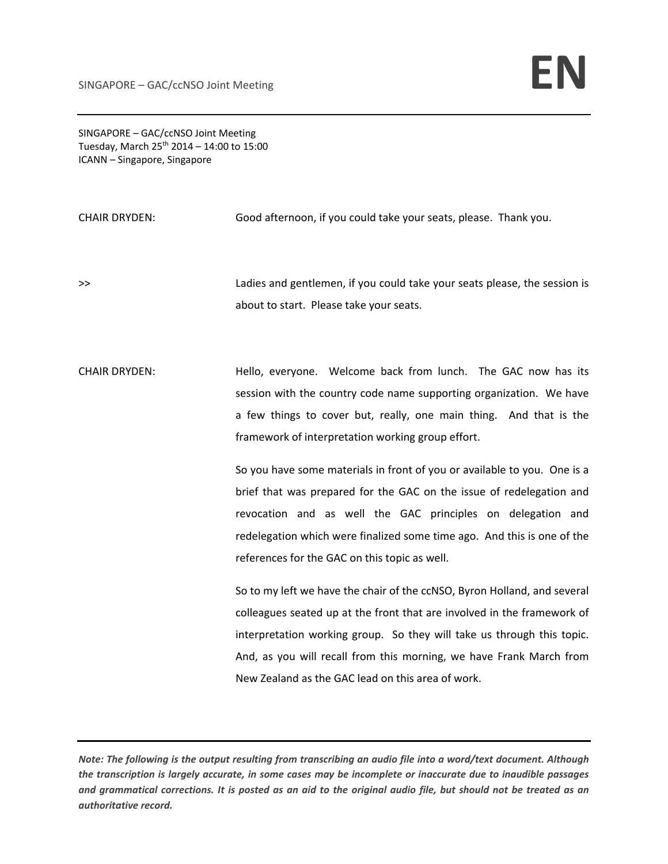SINGAPORE – GAC/ccNSO Joint Meeting Tuesday, March  $25^{th}$  2014 – 14:00 to 15:00 ICANN – Singapore, Singapore

CHAIR DRYDEN: Good afternoon, if you could take your seats, please. Thank you.

>> Ladies and gentlemen, if you could take your seats please, the session is about to start. Please take your seats.

CHAIR DRYDEN: Hello, everyone. Welcome back from lunch. The GAC now has its session with the country code name supporting organization. We have a few things to cover but, really, one main thing. And that is the framework of interpretation working group effort.

> So you have some materials in front of you or available to you. One is a brief that was prepared for the GAC on the issue of redelegation and revocation and as well the GAC principles on delegation and redelegation which were finalized some time ago. And this is one of the references for the GAC on this topic as well.

> So to my left we have the chair of the ccNSO, Byron Holland, and several colleagues seated up at the front that are involved in the framework of interpretation working group. So they will take us through this topic. And, as you will recall from this morning, we have Frank March from New Zealand as the GAC lead on this area of work.

Note: The following is the output resulting from transcribing an audio file into a word/text document. Although the transcription is largely accurate, in some cases may be incomplete or inaccurate due to inaudible passages and grammatical corrections. It is posted as an aid to the original audio file, but should not be treated as an *authoritative record.*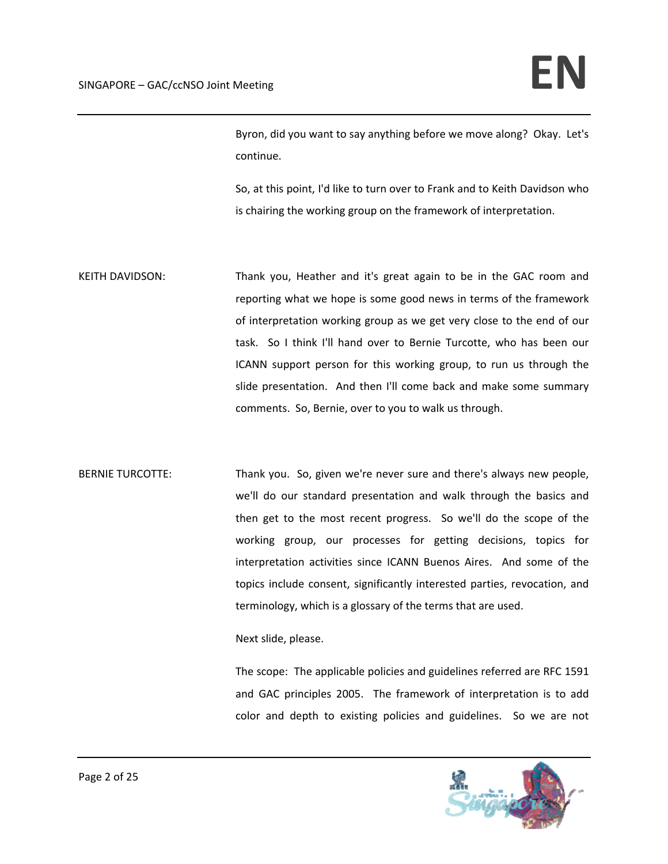Byron, did you want to say anything before we move along? Okay. Let's continue.

So, at this point, I'd like to turn over to Frank and to Keith Davidson who is chairing the working group on the framework of interpretation.

- KEITH DAVIDSON: Thank you, Heather and it's great again to be in the GAC room and reporting what we hope is some good news in terms of the framework of interpretation working group as we get very close to the end of our task. So I think I'll hand over to Bernie Turcotte, who has been our ICANN support person for this working group, to run us through the slide presentation. And then I'll come back and make some summary comments. So, Bernie, over to you to walk us through.
- BERNIE TURCOTTE: Thank you. So, given we're never sure and there's always new people, we'll do our standard presentation and walk through the basics and then get to the most recent progress. So we'll do the scope of the working group, our processes for getting decisions, topics for interpretation activities since ICANN Buenos Aires. And some of the topics include consent, significantly interested parties, revocation, and terminology, which is a glossary of the terms that are used.

Next slide, please.

The scope: The applicable policies and guidelines referred are RFC 1591 and GAC principles 2005. The framework of interpretation is to add color and depth to existing policies and guidelines. So we are not

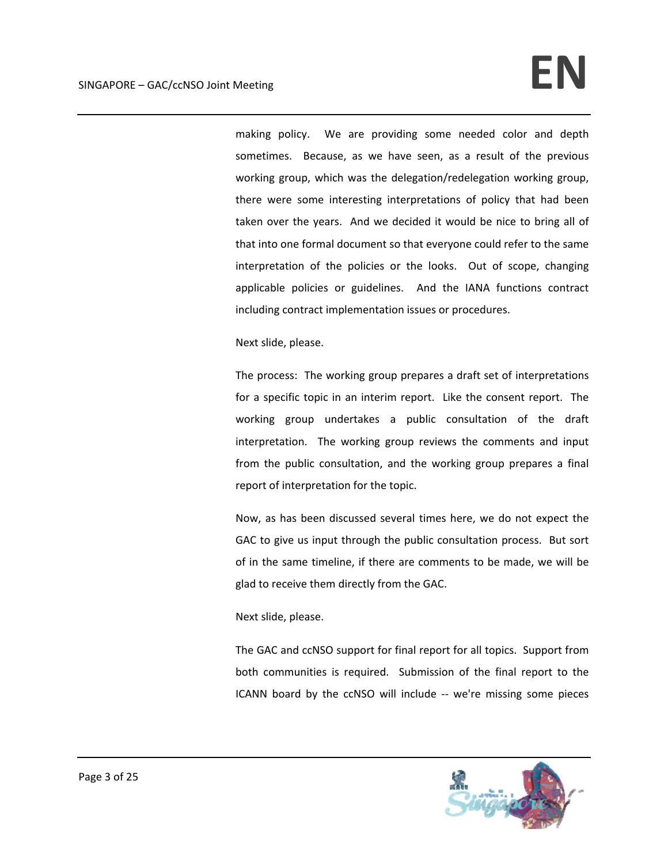making policy. We are providing some needed color and depth sometimes. Because, as we have seen, as a result of the previous working group, which was the delegation/redelegation working group, there were some interesting interpretations of policy that had been taken over the years. And we decided it would be nice to bring all of that into one formal document so that everyone could refer to the same interpretation of the policies or the looks. Out of scope, changing applicable policies or guidelines. And the IANA functions contract including contract implementation issues or procedures.

Next slide, please.

The process: The working group prepares a draft set of interpretations for a specific topic in an interim report. Like the consent report. The working group undertakes a public consultation of the draft interpretation. The working group reviews the comments and input from the public consultation, and the working group prepares a final report of interpretation for the topic.

Now, as has been discussed several times here, we do not expect the GAC to give us input through the public consultation process. But sort of in the same timeline, if there are comments to be made, we will be glad to receive them directly from the GAC.

#### Next slide, please.

The GAC and ccNSO support for final report for all topics. Support from both communities is required. Submission of the final report to the ICANN board by the ccNSO will include ‐‐ we're missing some pieces

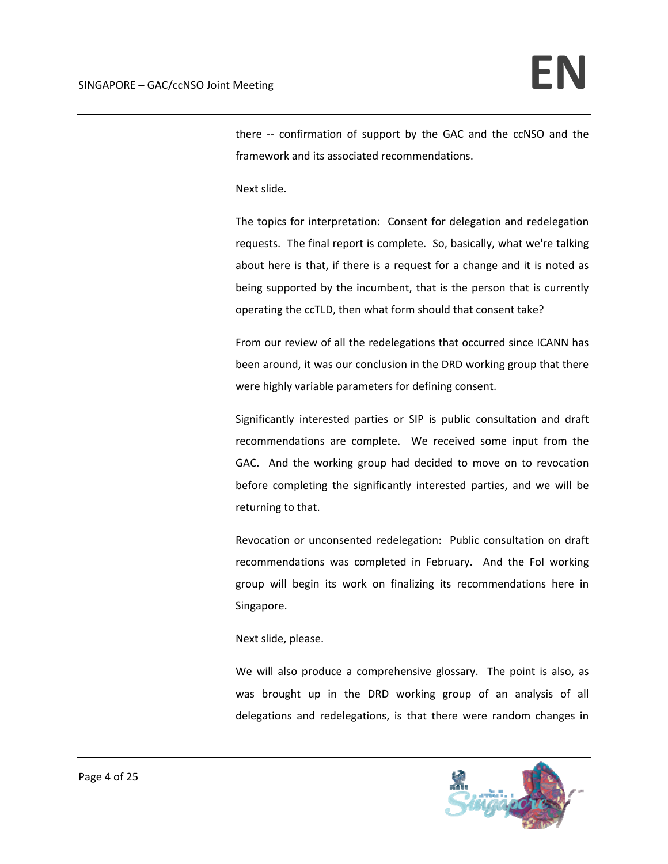there -- confirmation of support by the GAC and the ccNSO and the framework and its associated recommendations.

Next slide.

The topics for interpretation: Consent for delegation and redelegation requests. The final report is complete. So, basically, what we're talking about here is that, if there is a request for a change and it is noted as being supported by the incumbent, that is the person that is currently operating the ccTLD, then what form should that consent take?

From our review of all the redelegations that occurred since ICANN has been around, it was our conclusion in the DRD working group that there were highly variable parameters for defining consent.

Significantly interested parties or SIP is public consultation and draft recommendations are complete. We received some input from the GAC. And the working group had decided to move on to revocation before completing the significantly interested parties, and we will be returning to that.

Revocation or unconsented redelegation: Public consultation on draft recommendations was completed in February. And the FoI working group will begin its work on finalizing its recommendations here in Singapore.

Next slide, please.

We will also produce a comprehensive glossary. The point is also, as was brought up in the DRD working group of an analysis of all delegations and redelegations, is that there were random changes in

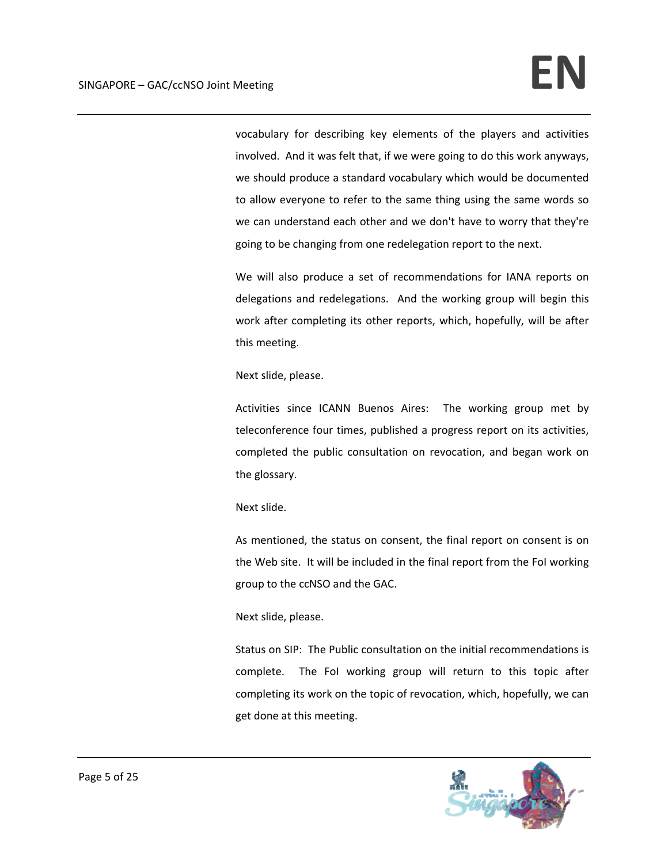vocabulary for describing key elements of the players and activities involved. And it was felt that, if we were going to do this work anyways, we should produce a standard vocabulary which would be documented to allow everyone to refer to the same thing using the same words so we can understand each other and we don't have to worry that they're going to be changing from one redelegation report to the next.

We will also produce a set of recommendations for IANA reports on delegations and redelegations. And the working group will begin this work after completing its other reports, which, hopefully, will be after this meeting.

Next slide, please.

Activities since ICANN Buenos Aires: The working group met by teleconference four times, published a progress report on its activities, completed the public consultation on revocation, and began work on the glossary.

Next slide.

As mentioned, the status on consent, the final report on consent is on the Web site. It will be included in the final report from the FoI working group to the ccNSO and the GAC.

### Next slide, please.

Status on SIP: The Public consultation on the initial recommendations is complete. The FoI working group will return to this topic after completing its work on the topic of revocation, which, hopefully, we can get done at this meeting.

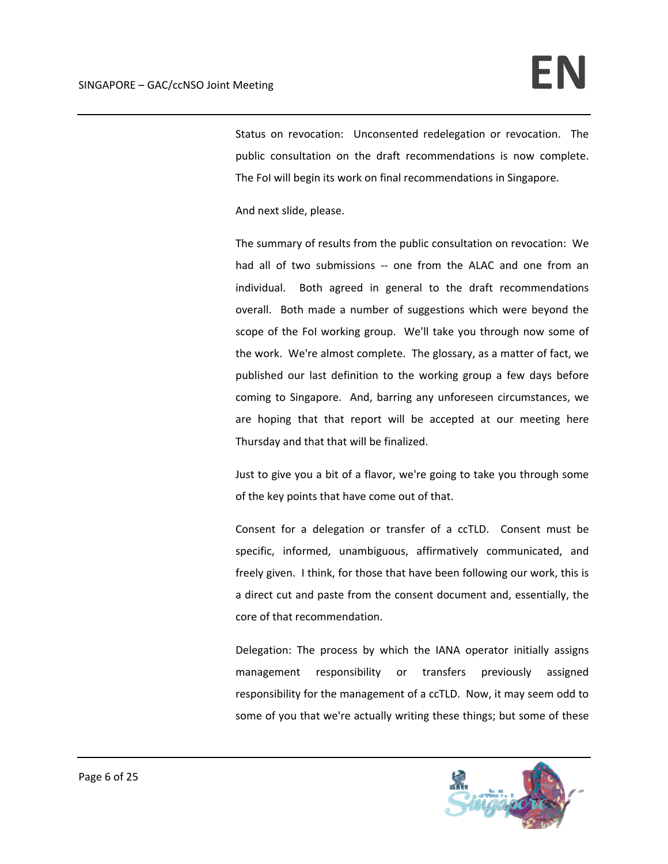Status on revocation: Unconsented redelegation or revocation. The public consultation on the draft recommendations is now complete. The FoI will begin its work on final recommendations in Singapore.

And next slide, please.

The summary of results from the public consultation on revocation: We had all of two submissions -- one from the ALAC and one from an individual. Both agreed in general to the draft recommendations overall. Both made a number of suggestions which were beyond the scope of the FoI working group. We'll take you through now some of the work. We're almost complete. The glossary, as a matter of fact, we published our last definition to the working group a few days before coming to Singapore. And, barring any unforeseen circumstances, we are hoping that that report will be accepted at our meeting here Thursday and that that will be finalized.

Just to give you a bit of a flavor, we're going to take you through some of the key points that have come out of that.

Consent for a delegation or transfer of a ccTLD. Consent must be specific, informed, unambiguous, affirmatively communicated, and freely given. I think, for those that have been following our work, this is a direct cut and paste from the consent document and, essentially, the core of that recommendation.

Delegation: The process by which the IANA operator initially assigns management responsibility or transfers previously assigned responsibility for the management of a ccTLD. Now, it may seem odd to some of you that we're actually writing these things; but some of these

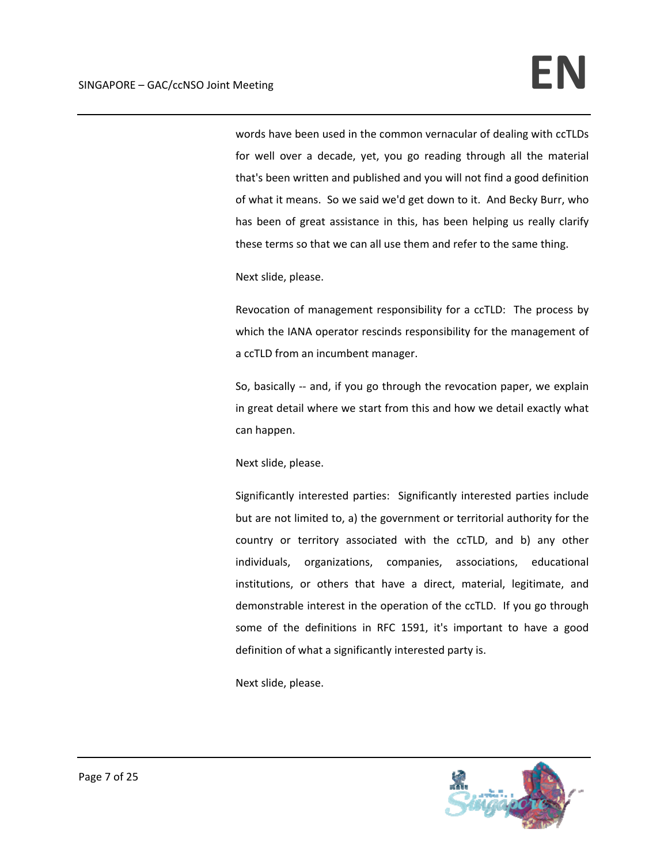words have been used in the common vernacular of dealing with ccTLDs for well over a decade, yet, you go reading through all the material that's been written and published and you will not find a good definition of what it means. So we said we'd get down to it. And Becky Burr, who has been of great assistance in this, has been helping us really clarify these terms so that we can all use them and refer to the same thing.

Next slide, please.

Revocation of management responsibility for a ccTLD: The process by which the IANA operator rescinds responsibility for the management of a ccTLD from an incumbent manager.

So, basically -- and, if you go through the revocation paper, we explain in great detail where we start from this and how we detail exactly what can happen.

Next slide, please.

Significantly interested parties: Significantly interested parties include but are not limited to, a) the government or territorial authority for the country or territory associated with the ccTLD, and b) any other individuals, organizations, companies, associations, educational institutions, or others that have a direct, material, legitimate, and demonstrable interest in the operation of the ccTLD. If you go through some of the definitions in RFC 1591, it's important to have a good definition of what a significantly interested party is.

Next slide, please.

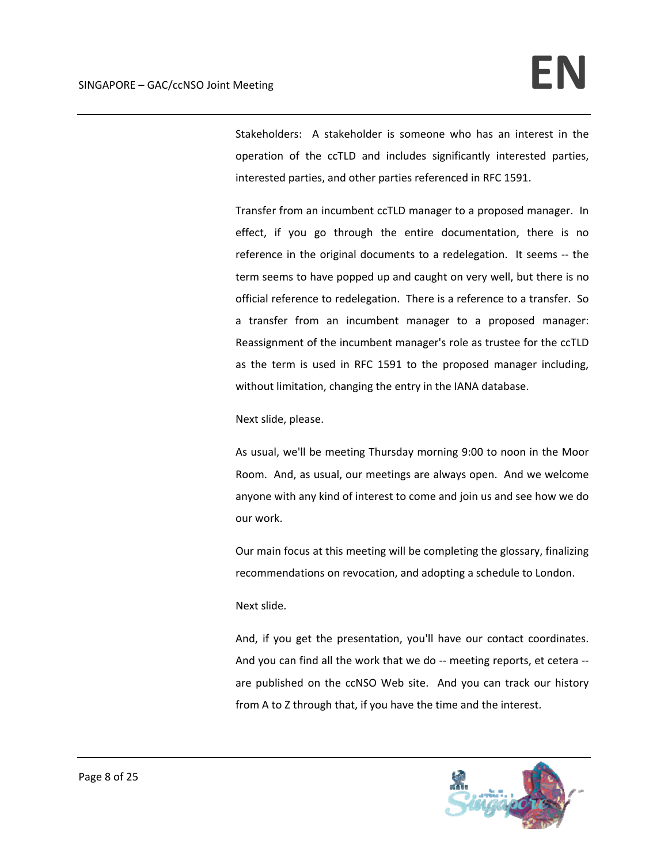Stakeholders: A stakeholder is someone who has an interest in the operation of the ccTLD and includes significantly interested parties, interested parties, and other parties referenced in RFC 1591.

Transfer from an incumbent ccTLD manager to a proposed manager. In effect, if you go through the entire documentation, there is no reference in the original documents to a redelegation. It seems ‐‐ the term seems to have popped up and caught on very well, but there is no official reference to redelegation. There is a reference to a transfer. So a transfer from an incumbent manager to a proposed manager: Reassignment of the incumbent manager's role as trustee for the ccTLD as the term is used in RFC 1591 to the proposed manager including, without limitation, changing the entry in the IANA database.

Next slide, please.

As usual, we'll be meeting Thursday morning 9:00 to noon in the Moor Room. And, as usual, our meetings are always open. And we welcome anyone with any kind of interest to come and join us and see how we do our work.

Our main focus at this meeting will be completing the glossary, finalizing recommendations on revocation, and adopting a schedule to London.

Next slide.

And, if you get the presentation, you'll have our contact coordinates. And you can find all the work that we do ‐‐ meeting reports, et cetera ‐‐ are published on the ccNSO Web site. And you can track our history from A to Z through that, if you have the time and the interest.

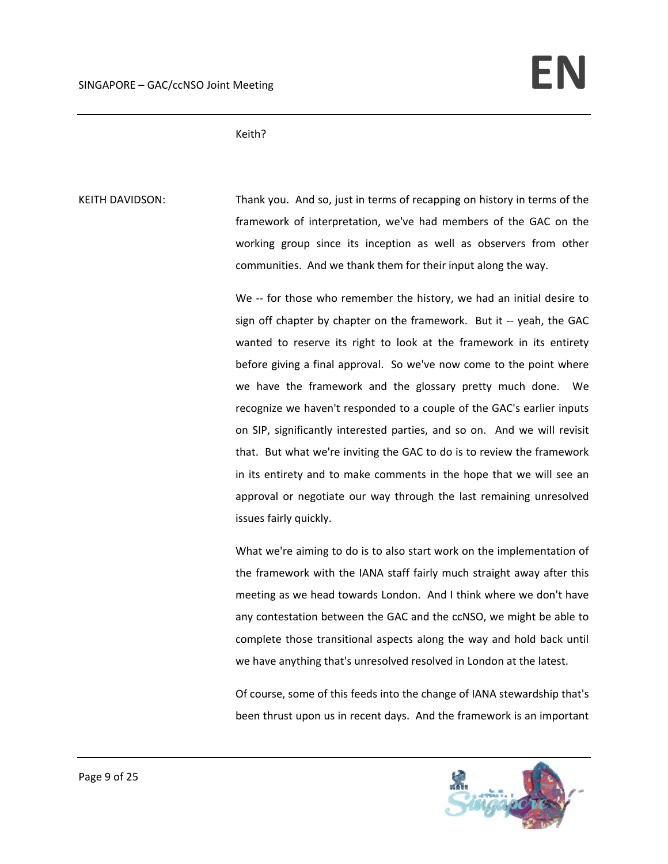Keith?

KEITH DAVIDSON: Thank you. And so, just in terms of recapping on history in terms of the framework of interpretation, we've had members of the GAC on the working group since its inception as well as observers from other communities. And we thank them for their input along the way.

> We -- for those who remember the history, we had an initial desire to sign off chapter by chapter on the framework. But it -- yeah, the GAC wanted to reserve its right to look at the framework in its entirety before giving a final approval. So we've now come to the point where we have the framework and the glossary pretty much done. We recognize we haven't responded to a couple of the GAC's earlier inputs on SIP, significantly interested parties, and so on. And we will revisit that. But what we're inviting the GAC to do is to review the framework in its entirety and to make comments in the hope that we will see an approval or negotiate our way through the last remaining unresolved issues fairly quickly.

> What we're aiming to do is to also start work on the implementation of the framework with the IANA staff fairly much straight away after this meeting as we head towards London. And I think where we don't have any contestation between the GAC and the ccNSO, we might be able to complete those transitional aspects along the way and hold back until we have anything that's unresolved resolved in London at the latest.

> Of course, some of this feeds into the change of IANA stewardship that's been thrust upon us in recent days. And the framework is an important

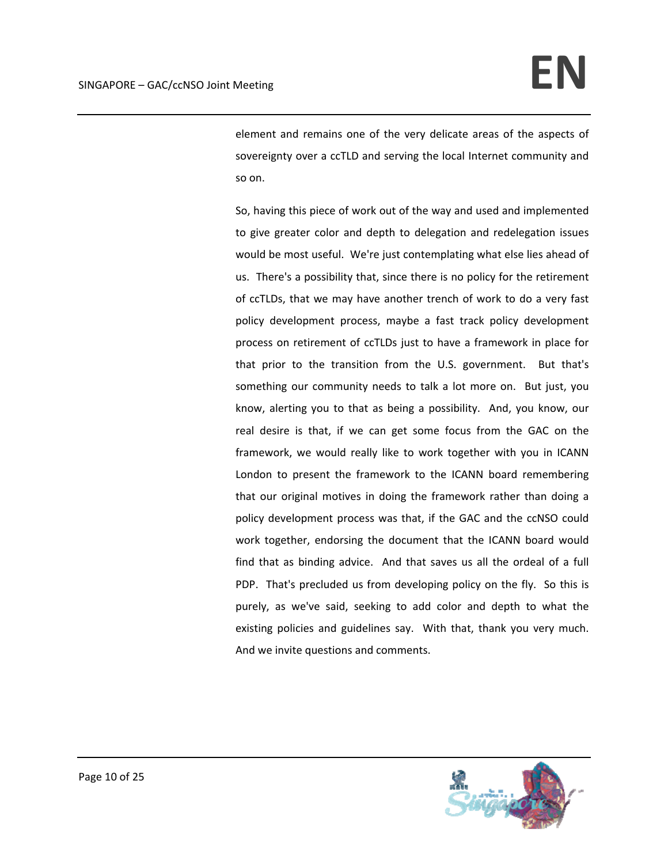element and remains one of the very delicate areas of the aspects of sovereignty over a ccTLD and serving the local Internet community and so on.

So, having this piece of work out of the way and used and implemented to give greater color and depth to delegation and redelegation issues would be most useful. We're just contemplating what else lies ahead of us. There's a possibility that, since there is no policy for the retirement of ccTLDs, that we may have another trench of work to do a very fast policy development process, maybe a fast track policy development process on retirement of ccTLDs just to have a framework in place for that prior to the transition from the U.S. government. But that's something our community needs to talk a lot more on. But just, you know, alerting you to that as being a possibility. And, you know, our real desire is that, if we can get some focus from the GAC on the framework, we would really like to work together with you in ICANN London to present the framework to the ICANN board remembering that our original motives in doing the framework rather than doing a policy development process was that, if the GAC and the ccNSO could work together, endorsing the document that the ICANN board would find that as binding advice. And that saves us all the ordeal of a full PDP. That's precluded us from developing policy on the fly. So this is purely, as we've said, seeking to add color and depth to what the existing policies and guidelines say. With that, thank you very much. And we invite questions and comments.

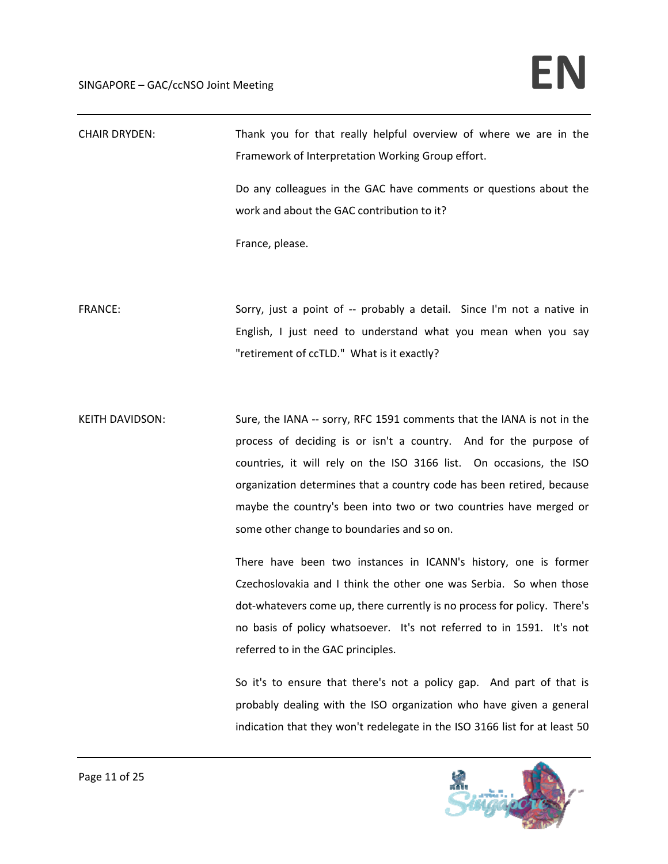## SINGAPORE – GAC/ccNSO Joint Meeting **EN**

| <b>CHAIR DRYDEN:</b>   | Thank you for that really helpful overview of where we are in the<br>Framework of Interpretation Working Group effort.                                                                                                                                                                                                                                                                                         |
|------------------------|----------------------------------------------------------------------------------------------------------------------------------------------------------------------------------------------------------------------------------------------------------------------------------------------------------------------------------------------------------------------------------------------------------------|
|                        | Do any colleagues in the GAC have comments or questions about the<br>work and about the GAC contribution to it?                                                                                                                                                                                                                                                                                                |
|                        | France, please.                                                                                                                                                                                                                                                                                                                                                                                                |
| <b>FRANCE:</b>         | Sorry, just a point of -- probably a detail. Since I'm not a native in<br>English, I just need to understand what you mean when you say<br>"retirement of ccTLD." What is it exactly?                                                                                                                                                                                                                          |
| <b>KEITH DAVIDSON:</b> | Sure, the IANA -- sorry, RFC 1591 comments that the IANA is not in the<br>process of deciding is or isn't a country. And for the purpose of<br>countries, it will rely on the ISO 3166 list. On occasions, the ISO<br>organization determines that a country code has been retired, because<br>maybe the country's been into two or two countries have merged or<br>some other change to boundaries and so on. |
|                        | There have been two instances in ICANN's history, one is former<br>Czechoslovakia and I think the other one was Serbia. So when those<br>dot-whatevers come up, there currently is no process for policy. There's<br>no basis of policy whatsoever. It's not referred to in 1591. It's not<br>referred to in the GAC principles.<br>So it's to ensure that there's not a policy gap. And part of that is       |
|                        | probably dealing with the ISO organization who have given a general<br>indication that they won't redelegate in the ISO 3166 list for at least 50                                                                                                                                                                                                                                                              |

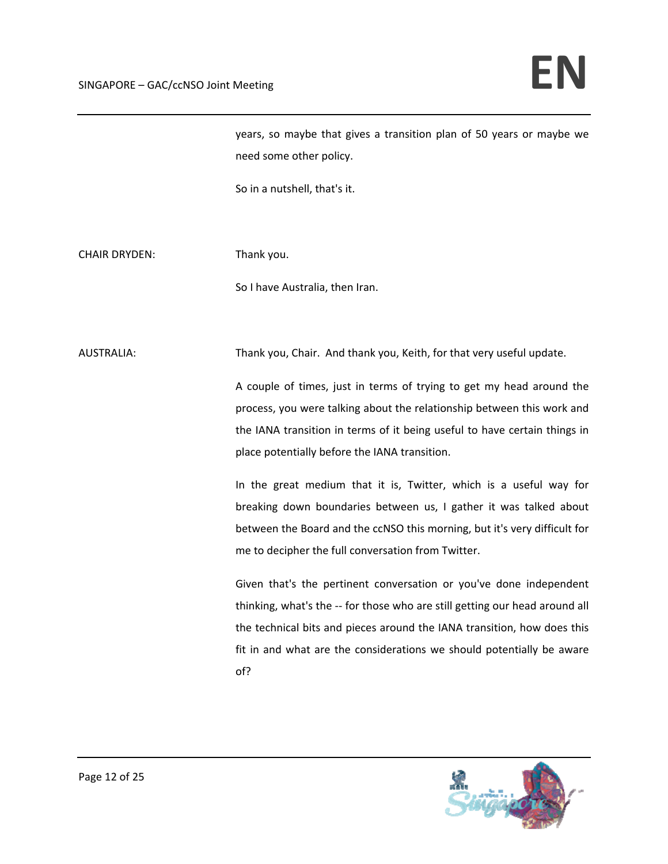years, so maybe that gives a transition plan of 50 years or maybe we need some other policy.

So in a nutshell, that's it.

CHAIR DRYDEN: Thank you.

So I have Australia, then Iran.

AUSTRALIA: Thank you, Chair. And thank you, Keith, for that very useful update.

A couple of times, just in terms of trying to get my head around the process, you were talking about the relationship between this work and the IANA transition in terms of it being useful to have certain things in place potentially before the IANA transition.

In the great medium that it is, Twitter, which is a useful way for breaking down boundaries between us, I gather it was talked about between the Board and the ccNSO this morning, but it's very difficult for me to decipher the full conversation from Twitter.

Given that's the pertinent conversation or you've done independent thinking, what's the ‐‐ for those who are still getting our head around all the technical bits and pieces around the IANA transition, how does this fit in and what are the considerations we should potentially be aware of?

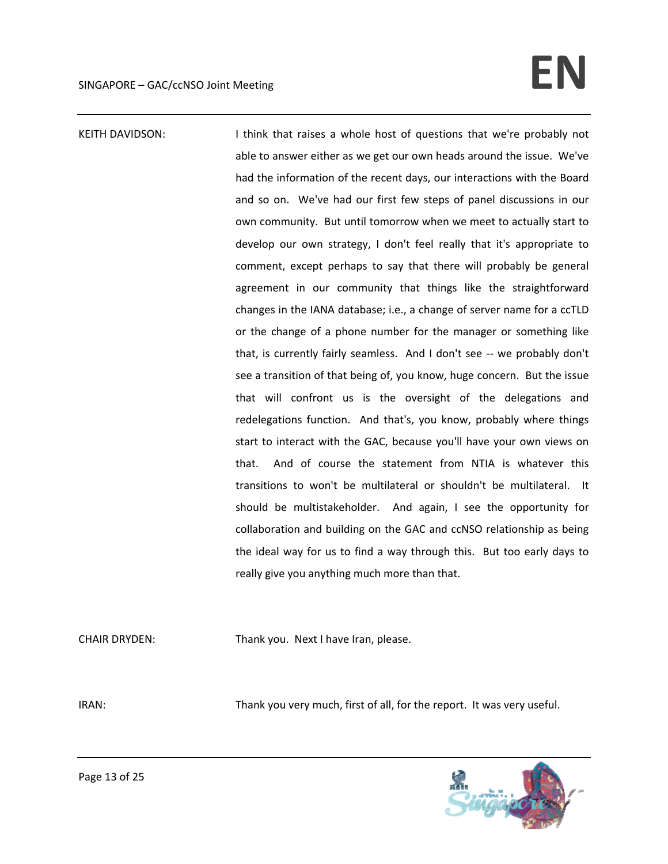# $SINGAPORE - GAC/ccNSO Joint Meeting$

KEITH DAVIDSON: I think that raises a whole host of questions that we're probably not able to answer either as we get our own heads around the issue. We've had the information of the recent days, our interactions with the Board and so on. We've had our first few steps of panel discussions in our own community. But until tomorrow when we meet to actually start to develop our own strategy, I don't feel really that it's appropriate to comment, except perhaps to say that there will probably be general agreement in our community that things like the straightforward changes in the IANA database; i.e., a change of server name for a ccTLD or the change of a phone number for the manager or something like that, is currently fairly seamless. And I don't see ‐‐ we probably don't see a transition of that being of, you know, huge concern. But the issue that will confront us is the oversight of the delegations and redelegations function. And that's, you know, probably where things start to interact with the GAC, because you'll have your own views on that. And of course the statement from NTIA is whatever this transitions to won't be multilateral or shouldn't be multilateral. It should be multistakeholder. And again, I see the opportunity for collaboration and building on the GAC and ccNSO relationship as being the ideal way for us to find a way through this. But too early days to really give you anything much more than that.

CHAIR DRYDEN: Thank you. Next I have Iran, please.

IRAN: Thank you very much, first of all, for the report. It was very useful.

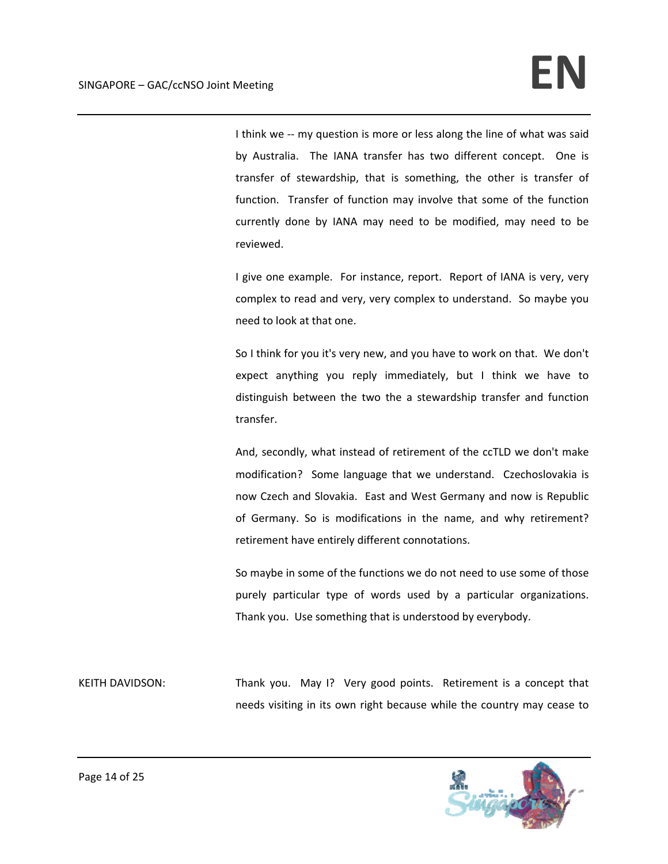I think we -- my question is more or less along the line of what was said by Australia. The IANA transfer has two different concept. One is transfer of stewardship, that is something, the other is transfer of function. Transfer of function may involve that some of the function currently done by IANA may need to be modified, may need to be reviewed.

I give one example. For instance, report. Report of IANA is very, very complex to read and very, very complex to understand. So maybe you need to look at that one.

So I think for you it's very new, and you have to work on that. We don't expect anything you reply immediately, but I think we have to distinguish between the two the a stewardship transfer and function transfer.

And, secondly, what instead of retirement of the ccTLD we don't make modification? Some language that we understand. Czechoslovakia is now Czech and Slovakia. East and West Germany and now is Republic of Germany. So is modifications in the name, and why retirement? retirement have entirely different connotations.

So maybe in some of the functions we do not need to use some of those purely particular type of words used by a particular organizations. Thank you. Use something that is understood by everybody.

KEITH DAVIDSON: Thank you. May I? Very good points. Retirement is a concept that needs visiting in its own right because while the country may cease to

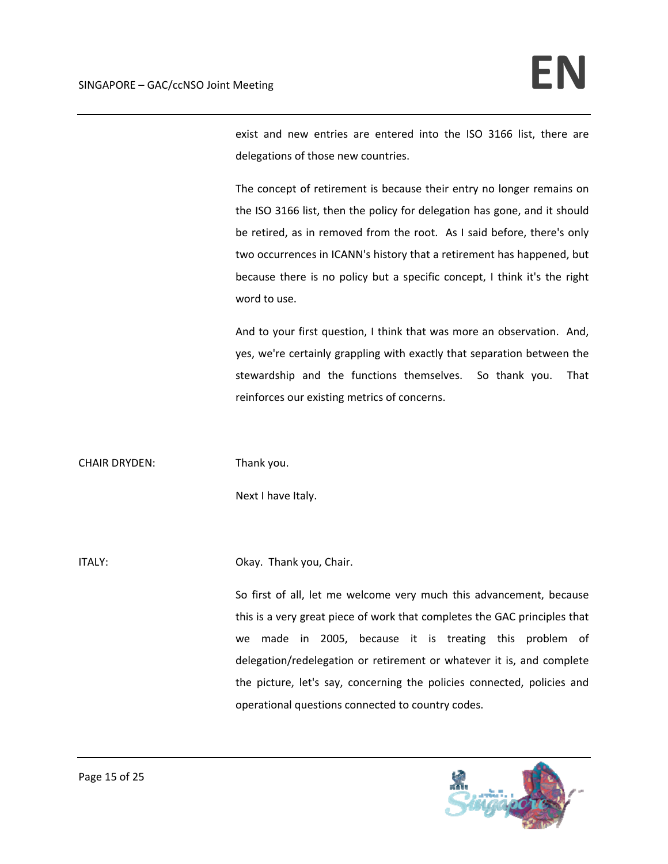exist and new entries are entered into the ISO 3166 list, there are delegations of those new countries.

The concept of retirement is because their entry no longer remains on the ISO 3166 list, then the policy for delegation has gone, and it should be retired, as in removed from the root. As I said before, there's only two occurrences in ICANN's history that a retirement has happened, but because there is no policy but a specific concept, I think it's the right word to use.

And to your first question, I think that was more an observation. And, yes, we're certainly grappling with exactly that separation between the stewardship and the functions themselves. So thank you. That reinforces our existing metrics of concerns.

CHAIR DRYDEN: Thank you.

Next I have Italy.

ITALY: ITALY: Chair.

So first of all, let me welcome very much this advancement, because this is a very great piece of work that completes the GAC principles that we made in 2005, because it is treating this problem of delegation/redelegation or retirement or whatever it is, and complete the picture, let's say, concerning the policies connected, policies and operational questions connected to country codes.

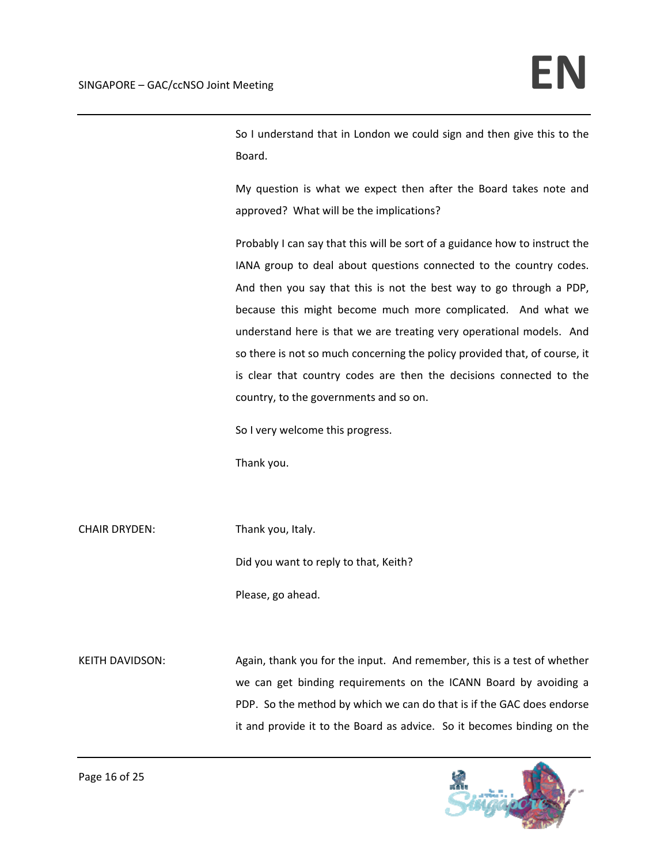So I understand that in London we could sign and then give this to the Board.

My question is what we expect then after the Board takes note and approved? What will be the implications?

Probably I can say that this will be sort of a guidance how to instruct the IANA group to deal about questions connected to the country codes. And then you say that this is not the best way to go through a PDP, because this might become much more complicated. And what we understand here is that we are treating very operational models. And so there is not so much concerning the policy provided that, of course, it is clear that country codes are then the decisions connected to the country, to the governments and so on.

So I very welcome this progress.

Thank you.

CHAIR DRYDEN: Thank you, Italy.

Did you want to reply to that, Keith?

Please, go ahead.

KEITH DAVIDSON: Again, thank you for the input. And remember, this is a test of whether we can get binding requirements on the ICANN Board by avoiding a PDP. So the method by which we can do that is if the GAC does endorse it and provide it to the Board as advice. So it becomes binding on the

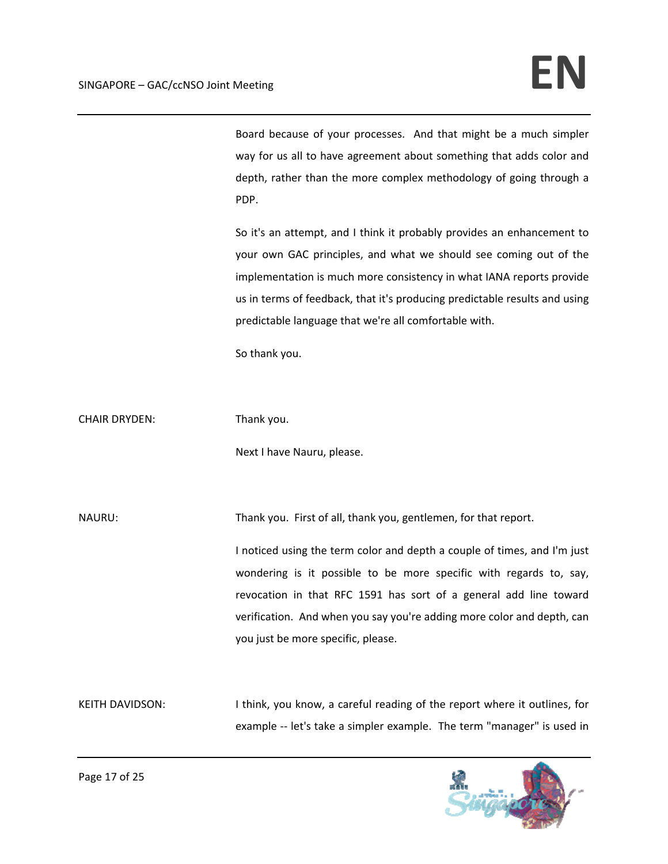Board because of your processes. And that might be a much simpler way for us all to have agreement about something that adds color and depth, rather than the more complex methodology of going through a PDP.

So it's an attempt, and I think it probably provides an enhancement to your own GAC principles, and what we should see coming out of the implementation is much more consistency in what IANA reports provide us in terms of feedback, that it's producing predictable results and using predictable language that we're all comfortable with.

So thank you.

CHAIR DRYDEN: Thank you.

Next I have Nauru, please.

NAURU: Thank you. First of all, thank you, gentlemen, for that report.

I noticed using the term color and depth a couple of times, and I'm just wondering is it possible to be more specific with regards to, say, revocation in that RFC 1591 has sort of a general add line toward verification. And when you say you're adding more color and depth, can you just be more specific, please.

KEITH DAVIDSON: I think, you know, a careful reading of the report where it outlines, for example -- let's take a simpler example. The term "manager" is used in

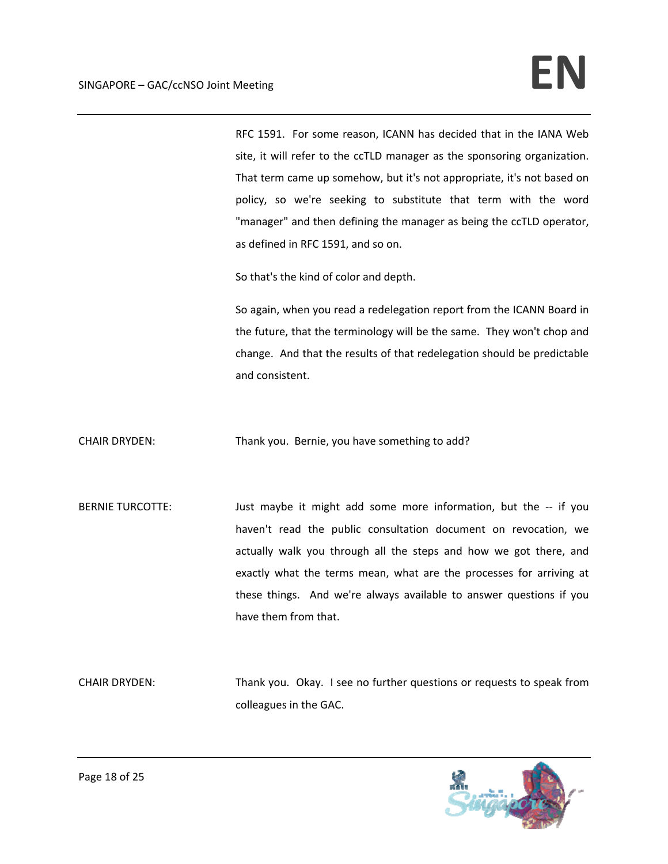RFC 1591. For some reason, ICANN has decided that in the IANA Web site, it will refer to the ccTLD manager as the sponsoring organization. That term came up somehow, but it's not appropriate, it's not based on policy, so we're seeking to substitute that term with the word "manager" and then defining the manager as being the ccTLD operator, as defined in RFC 1591, and so on.

So that's the kind of color and depth.

So again, when you read a redelegation report from the ICANN Board in the future, that the terminology will be the same. They won't chop and change. And that the results of that redelegation should be predictable and consistent.

CHAIR DRYDEN: Thank you. Bernie, you have something to add?

BERNIE TURCOTTE: Just maybe it might add some more information, but the -- if you haven't read the public consultation document on revocation, we actually walk you through all the steps and how we got there, and exactly what the terms mean, what are the processes for arriving at these things. And we're always available to answer questions if you have them from that.

CHAIR DRYDEN: Thank you. Okay. I see no further questions or requests to speak from colleagues in the GAC.

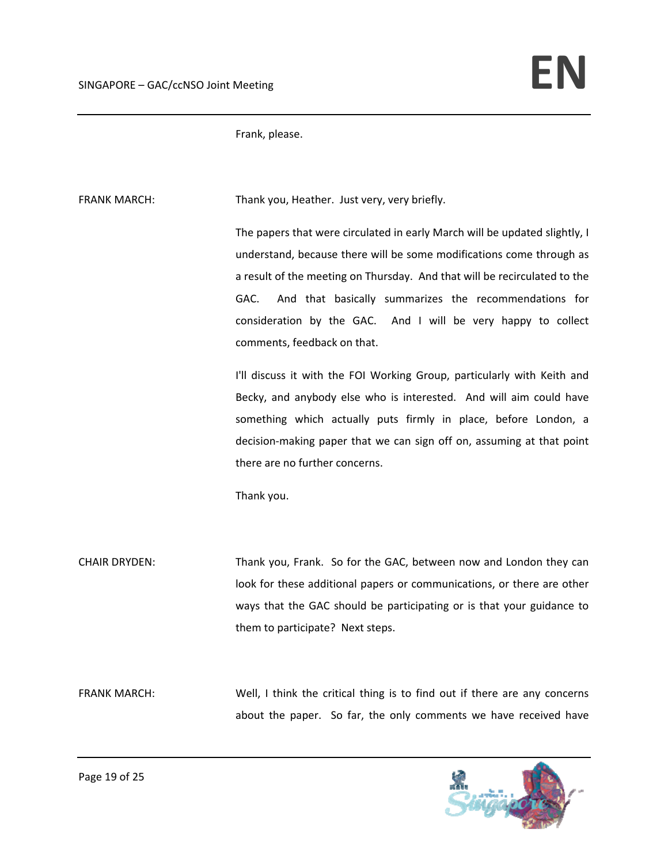Frank, please.

FRANK MARCH: Thank you, Heather. Just very, very briefly.

The papers that were circulated in early March will be updated slightly, I understand, because there will be some modifications come through as a result of the meeting on Thursday. And that will be recirculated to the GAC. And that basically summarizes the recommendations for consideration by the GAC. And I will be very happy to collect comments, feedback on that.

I'll discuss it with the FOI Working Group, particularly with Keith and Becky, and anybody else who is interested. And will aim could have something which actually puts firmly in place, before London, a decision‐making paper that we can sign off on, assuming at that point there are no further concerns.

Thank you.

CHAIR DRYDEN: Thank you, Frank. So for the GAC, between now and London they can look for these additional papers or communications, or there are other ways that the GAC should be participating or is that your guidance to them to participate? Next steps.

FRANK MARCH: Well, I think the critical thing is to find out if there are any concerns about the paper. So far, the only comments we have received have

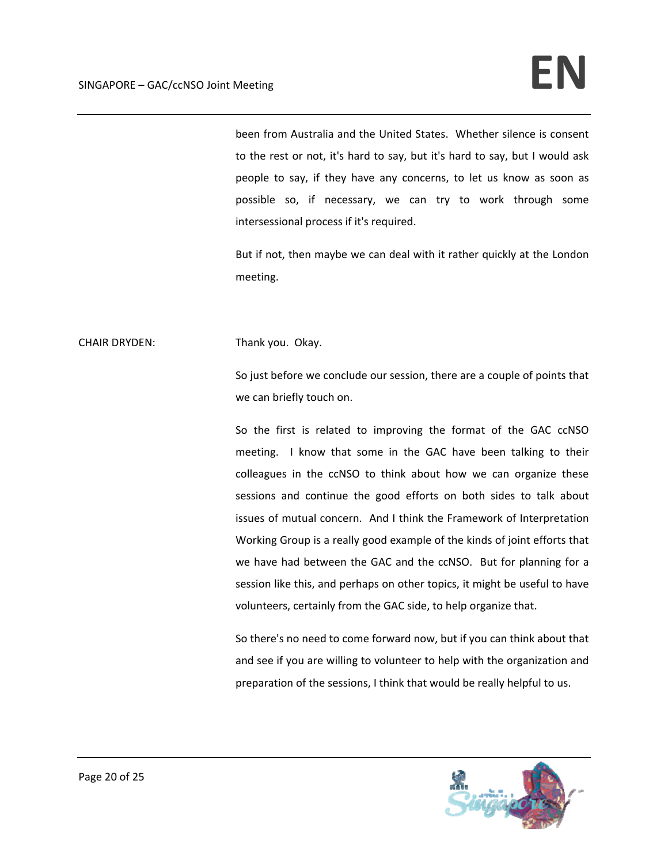been from Australia and the United States. Whether silence is consent to the rest or not, it's hard to say, but it's hard to say, but I would ask people to say, if they have any concerns, to let us know as soon as possible so, if necessary, we can try to work through some intersessional process if it's required.

But if not, then maybe we can deal with it rather quickly at the London meeting.

CHAIR DRYDEN: Thank you. Okay.

So just before we conclude our session, there are a couple of points that we can briefly touch on.

So the first is related to improving the format of the GAC ccNSO meeting. I know that some in the GAC have been talking to their colleagues in the ccNSO to think about how we can organize these sessions and continue the good efforts on both sides to talk about issues of mutual concern. And I think the Framework of Interpretation Working Group is a really good example of the kinds of joint efforts that we have had between the GAC and the ccNSO. But for planning for a session like this, and perhaps on other topics, it might be useful to have volunteers, certainly from the GAC side, to help organize that.

So there's no need to come forward now, but if you can think about that and see if you are willing to volunteer to help with the organization and preparation of the sessions, I think that would be really helpful to us.

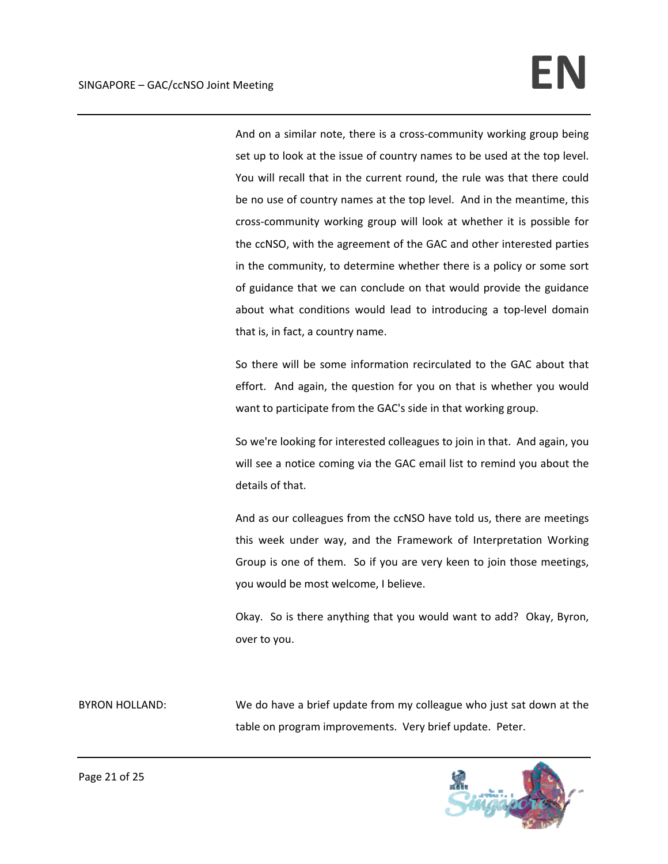And on a similar note, there is a cross-community working group being set up to look at the issue of country names to be used at the top level. You will recall that in the current round, the rule was that there could be no use of country names at the top level. And in the meantime, this cross‐community working group will look at whether it is possible for the ccNSO, with the agreement of the GAC and other interested parties in the community, to determine whether there is a policy or some sort of guidance that we can conclude on that would provide the guidance about what conditions would lead to introducing a top‐level domain that is, in fact, a country name.

So there will be some information recirculated to the GAC about that effort. And again, the question for you on that is whether you would want to participate from the GAC's side in that working group.

So we're looking for interested colleagues to join in that. And again, you will see a notice coming via the GAC email list to remind you about the details of that.

And as our colleagues from the ccNSO have told us, there are meetings this week under way, and the Framework of Interpretation Working Group is one of them. So if you are very keen to join those meetings, you would be most welcome, I believe.

Okay. So is there anything that you would want to add? Okay, Byron, over to you.

BYRON HOLLAND: We do have a brief update from my colleague who just sat down at the table on program improvements. Very brief update. Peter.

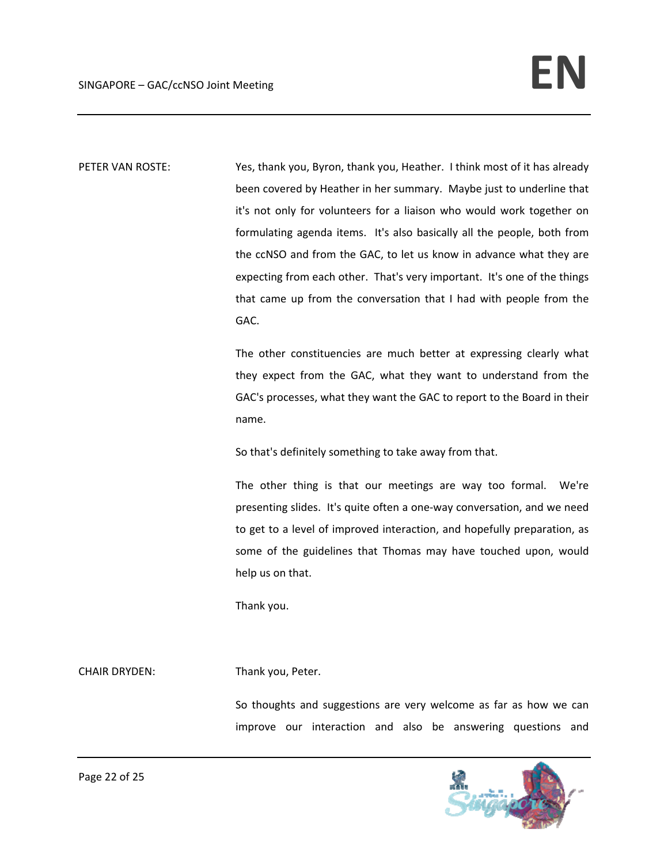PETER VAN ROSTE: Yes, thank you, Byron, thank you, Heather. I think most of it has already been covered by Heather in her summary. Maybe just to underline that it's not only for volunteers for a liaison who would work together on formulating agenda items. It's also basically all the people, both from the ccNSO and from the GAC, to let us know in advance what they are expecting from each other. That's very important. It's one of the things that came up from the conversation that I had with people from the GAC.

> The other constituencies are much better at expressing clearly what they expect from the GAC, what they want to understand from the GAC's processes, what they want the GAC to report to the Board in their name.

So that's definitely something to take away from that.

The other thing is that our meetings are way too formal. We're presenting slides. It's quite often a one‐way conversation, and we need to get to a level of improved interaction, and hopefully preparation, as some of the guidelines that Thomas may have touched upon, would help us on that.

Thank you.

### CHAIR DRYDEN: Thank you, Peter.

So thoughts and suggestions are very welcome as far as how we can improve our interaction and also be answering questions and

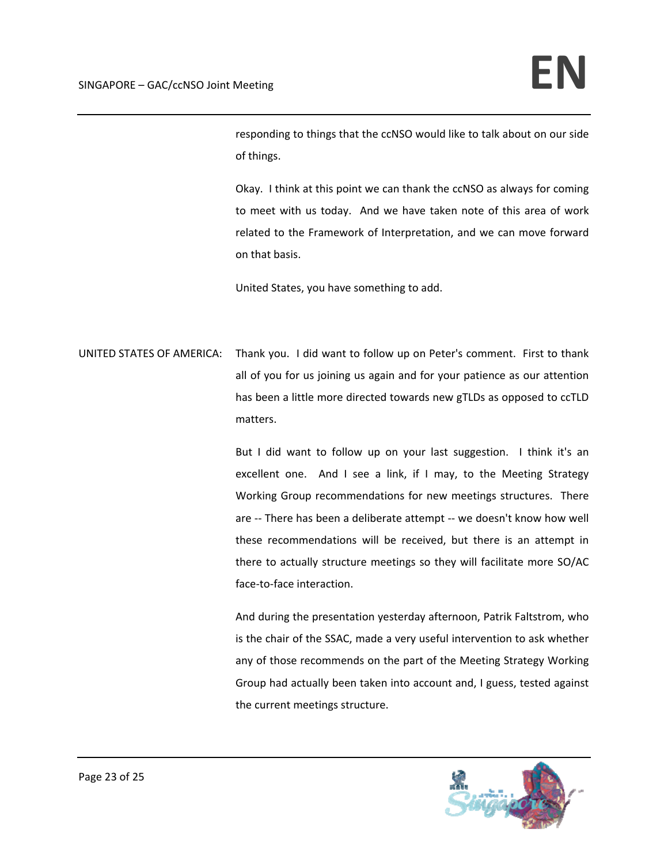responding to things that the ccNSO would like to talk about on our side of things.

Okay. I think at this point we can thank the ccNSO as always for coming to meet with us today. And we have taken note of this area of work related to the Framework of Interpretation, and we can move forward on that basis.

United States, you have something to add.

UNITED STATES OF AMERICA: Thank you. I did want to follow up on Peter's comment. First to thank all of you for us joining us again and for your patience as our attention has been a little more directed towards new gTLDs as opposed to ccTLD matters.

> But I did want to follow up on your last suggestion. I think it's an excellent one. And I see a link, if I may, to the Meeting Strategy Working Group recommendations for new meetings structures. There are ‐‐ There has been a deliberate attempt ‐‐ we doesn't know how well these recommendations will be received, but there is an attempt in there to actually structure meetings so they will facilitate more SO/AC face‐to‐face interaction.

> And during the presentation yesterday afternoon, Patrik Faltstrom, who is the chair of the SSAC, made a very useful intervention to ask whether any of those recommends on the part of the Meeting Strategy Working Group had actually been taken into account and, I guess, tested against the current meetings structure.

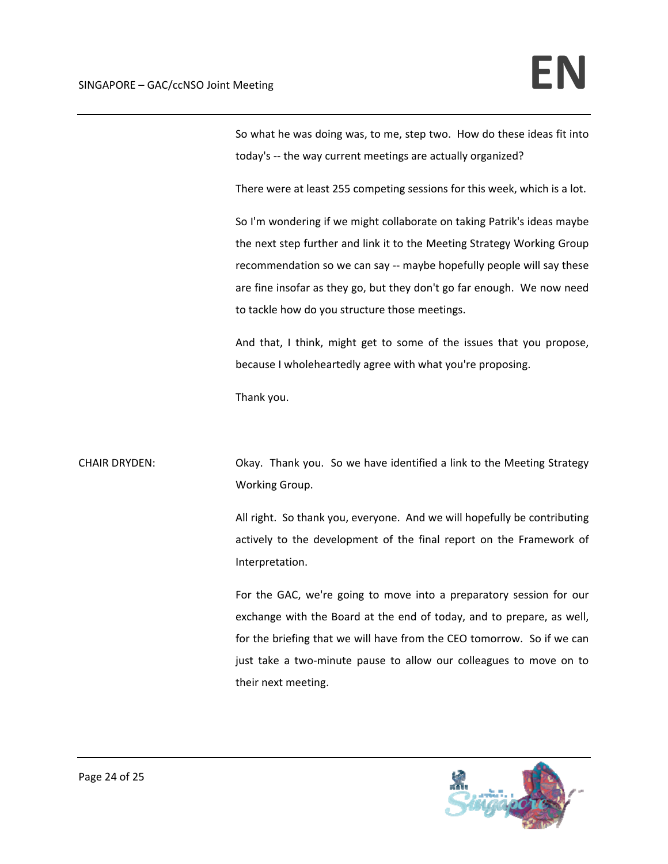So what he was doing was, to me, step two. How do these ideas fit into today's ‐‐ the way current meetings are actually organized?

There were at least 255 competing sessions for this week, which is a lot.

So I'm wondering if we might collaborate on taking Patrik's ideas maybe the next step further and link it to the Meeting Strategy Working Group recommendation so we can say -- maybe hopefully people will say these are fine insofar as they go, but they don't go far enough. We now need to tackle how do you structure those meetings.

And that, I think, might get to some of the issues that you propose, because I wholeheartedly agree with what you're proposing.

Thank you.

CHAIR DRYDEN: Okay. Thank you. So we have identified a link to the Meeting Strategy Working Group.

> All right. So thank you, everyone. And we will hopefully be contributing actively to the development of the final report on the Framework of Interpretation.

> For the GAC, we're going to move into a preparatory session for our exchange with the Board at the end of today, and to prepare, as well, for the briefing that we will have from the CEO tomorrow. So if we can just take a two-minute pause to allow our colleagues to move on to their next meeting.